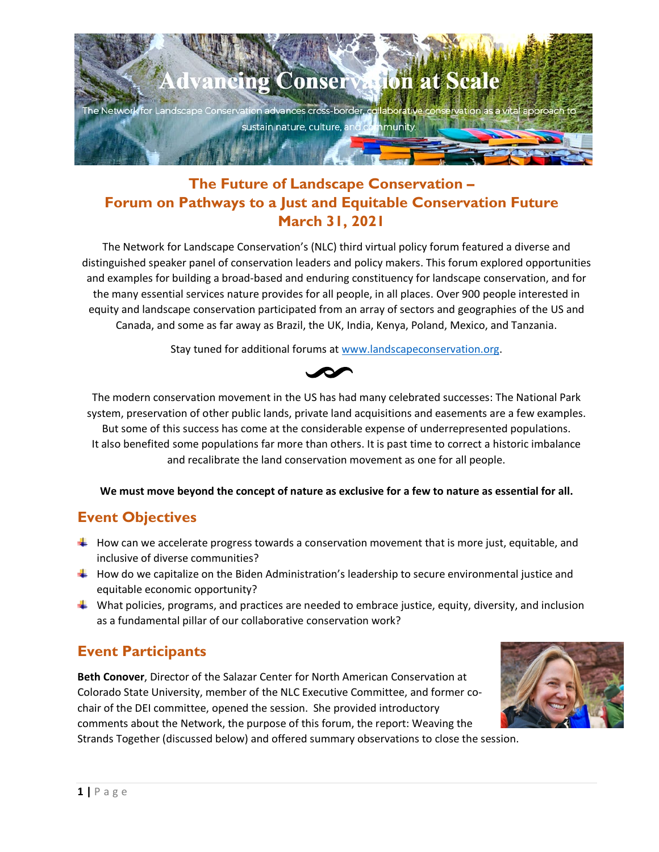

# **The Future of Landscape Conservation – Forum on Pathways to a Just and Equitable Conservation Future March 31, 2021**

The Network for Landscape Conservation's (NLC) third virtual policy forum featured a diverse and distinguished speaker panel of conservation leaders and policy makers. This forum explored opportunities and examples for building a broad-based and enduring constituency for landscape conservation, and for the many essential services nature provides for all people, in all places. Over 900 people interested in equity and landscape conservation participated from an array of sectors and geographies of the US and Canada, and some as far away as Brazil, the UK, India, Kenya, Poland, Mexico, and Tanzania.

Stay tuned for additional forums at [www.landscapeconservation.org.](http://www.landscapeconservation.org/)



The modern conservation movement in the US has had many celebrated successes: The National Park system, preservation of other public lands, private land acquisitions and easements are a few examples. But some of this success has come at the considerable expense of underrepresented populations. It also benefited some populations far more than others. It is past time to correct a historic imbalance and recalibrate the land conservation movement as one for all people.

**We must move beyond the concept of nature as exclusive for a few to nature as essential for all.**

# **Event Objectives**

- $\textcolor{red}{\blacktriangleleft}$  How can we accelerate progress towards a conservation movement that is more just, equitable, and inclusive of diverse communities?
- $\ddot{\phantom{1}}$  How do we capitalize on the Biden Administration's leadership to secure environmental justice and equitable economic opportunity?
- $\ddot{\phantom{1}}$  What policies, programs, and practices are needed to embrace justice, equity, diversity, and inclusion as a fundamental pillar of our collaborative conservation work?

# **Event Participants**

**Beth Conover**, Director of the Salazar Center for North American Conservation at Colorado State University, member of the NLC Executive Committee, and former cochair of the DEI committee, opened the session. She provided introductory comments about the Network, the purpose of this forum, the report: Weaving the Strands Together (discussed below) and offered summary observations to close the session.

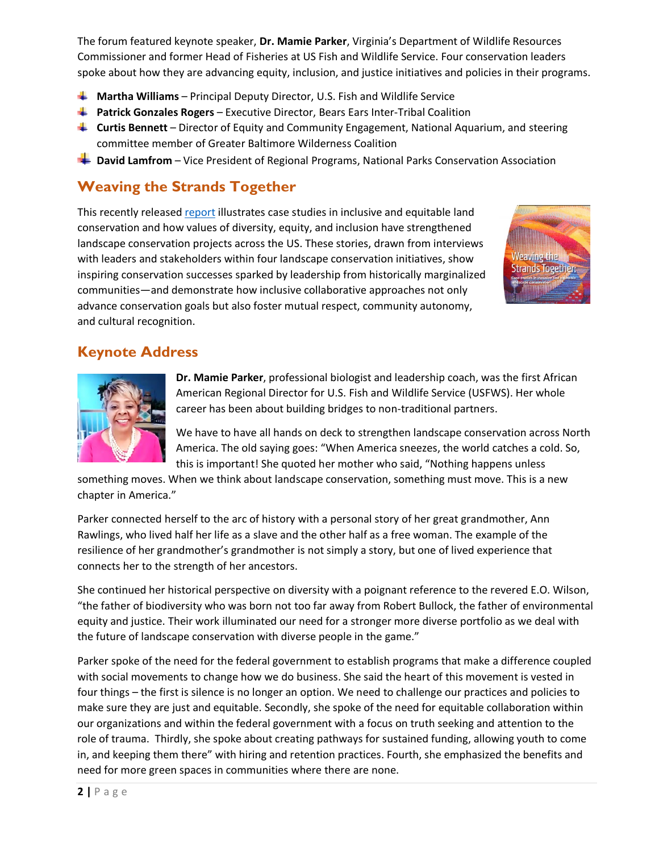The forum featured keynote speaker, **Dr. Mamie Parker**, Virginia's Department of Wildlife Resources Commissioner and former Head of Fisheries at US Fish and Wildlife Service. Four conservation leaders spoke about how they are advancing equity, inclusion, and justice initiatives and policies in their programs.

- **Martha Williams** Principal Deputy Director, U.S. Fish and Wildlife Service
- **Patrick Gonzales Rogers** Executive Director, Bears Ears Inter-Tribal Coalition
- **Curtis Bennett** Director of Equity and Community Engagement, National Aquarium, and steering committee member of Greater Baltimore Wilderness Coalition
- **Lational David Lamfrom** Vice President of Regional Programs, National Parks Conservation Association

## **Weaving the Strands Together**

This recently released [report](https://salazarcenter.colostate.edu/wp-content/uploads/sites/4/2021/01/Weaving-the-Strands-Together_Case-studies-in-inclusive-and-equitable-landscape-conservation.pdf) illustrates case studies in inclusive and equitable land conservation and how values of diversity, equity, and inclusion have strengthened landscape conservation projects across the US. These stories, drawn from interviews with leaders and stakeholders within four landscape conservation initiatives, show inspiring conservation successes sparked by leadership from historically marginalized communities—and demonstrate how inclusive collaborative approaches not only advance conservation goals but also foster mutual respect, community autonomy, and cultural recognition.



## **Keynote Address**



**Dr. Mamie Parker**, professional biologist and leadership coach, was the first African American Regional Director for U.S. Fish and Wildlife Service (USFWS). Her whole career has been about building bridges to non-traditional partners.

We have to have all hands on deck to strengthen landscape conservation across North America. The old saying goes: "When America sneezes, the world catches a cold. So, this is important! She quoted her mother who said, "Nothing happens unless

something moves. When we think about landscape conservation, something must move. This is a new chapter in America."

Parker connected herself to the arc of history with a personal story of her great grandmother, Ann Rawlings, who lived half her life as a slave and the other half as a free woman. The example of the resilience of her grandmother's grandmother is not simply a story, but one of lived experience that connects her to the strength of her ancestors.

She continued her historical perspective on diversity with a poignant reference to the revered E.O. Wilson, "the father of biodiversity who was born not too far away from Robert Bullock, the father of environmental equity and justice. Their work illuminated our need for a stronger more diverse portfolio as we deal with the future of landscape conservation with diverse people in the game."

Parker spoke of the need for the federal government to establish programs that make a difference coupled with social movements to change how we do business. She said the heart of this movement is vested in four things – the first is silence is no longer an option. We need to challenge our practices and policies to make sure they are just and equitable. Secondly, she spoke of the need for equitable collaboration within our organizations and within the federal government with a focus on truth seeking and attention to the role of trauma. Thirdly, she spoke about creating pathways for sustained funding, allowing youth to come in, and keeping them there" with hiring and retention practices. Fourth, she emphasized the benefits and need for more green spaces in communities where there are none.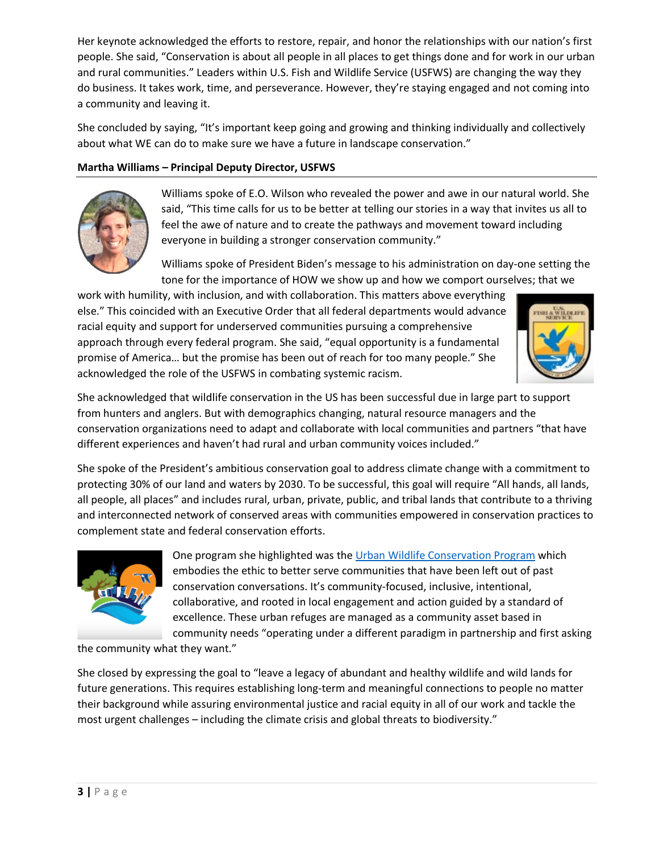Her keynote acknowledged the efforts to restore, repair, and honor the relationships with our nation's first people. She said, "Conservation is about all people in all places to get things done and for work in our urban and rural communities." Leaders within U.S. Fish and Wildlife Service (USFWS) are changing the way they do business. It takes work, time, and perseverance. However, they're staying engaged and not coming into a community and leaving it.

She concluded by saying, "It's important keep going and growing and thinking individually and collectively about what WE can do to make sure we have a future in landscape conservation."

### **Martha Williams – Principal Deputy Director, USFWS**



Williams spoke of E.O. Wilson who revealed the power and awe in our natural world. She said, "This time calls for us to be better at telling our stories in a way that invites us all to feel the awe of nature and to create the pathways and movement toward including everyone in building a stronger conservation community."

Williams spoke of President Biden's message to his administration on day-one setting the tone for the importance of HOW we show up and how we comport ourselves; that we

work with humility, with inclusion, and with collaboration. This matters above everything else." This coincided with an Executive Order that all federal departments would advance racial equity and support for underserved communities pursuing a comprehensive approach through every federal program. She said, "equal opportunity is a fundamental promise of America… but the promise has been out of reach for too many people." She acknowledged the role of the USFWS in combating systemic racism.



She acknowledged that wildlife conservation in the US has been successful due in large part to support from hunters and anglers. But with demographics changing, natural resource managers and the conservation organizations need to adapt and collaborate with local communities and partners "that have different experiences and haven't had rural and urban community voices included."

She spoke of the President's ambitious conservation goal to address climate change with a commitment to protecting 30% of our land and waters by 2030. To be successful, this goal will require "All hands, all lands, all people, all places" and includes rural, urban, private, public, and tribal lands that contribute to a thriving and interconnected network of conserved areas with communities empowered in conservation practices to complement state and federal conservation efforts.



One program she highlighted was the [Urban Wildlife Conservation Program](https://www.fws.gov/urban/) which embodies the ethic to better serve communities that have been left out of past conservation conversations. It's community-focused, inclusive, intentional, collaborative, and rooted in local engagement and action guided by a standard of excellence. These urban refuges are managed as a community asset based in community needs "operating under a different paradigm in partnership and first asking

the community what they want."

She closed by expressing the goal to "leave a legacy of abundant and healthy wildlife and wild lands for future generations. This requires establishing long-term and meaningful connections to people no matter their background while assuring environmental justice and racial equity in all of our work and tackle the most urgent challenges – including the climate crisis and global threats to biodiversity."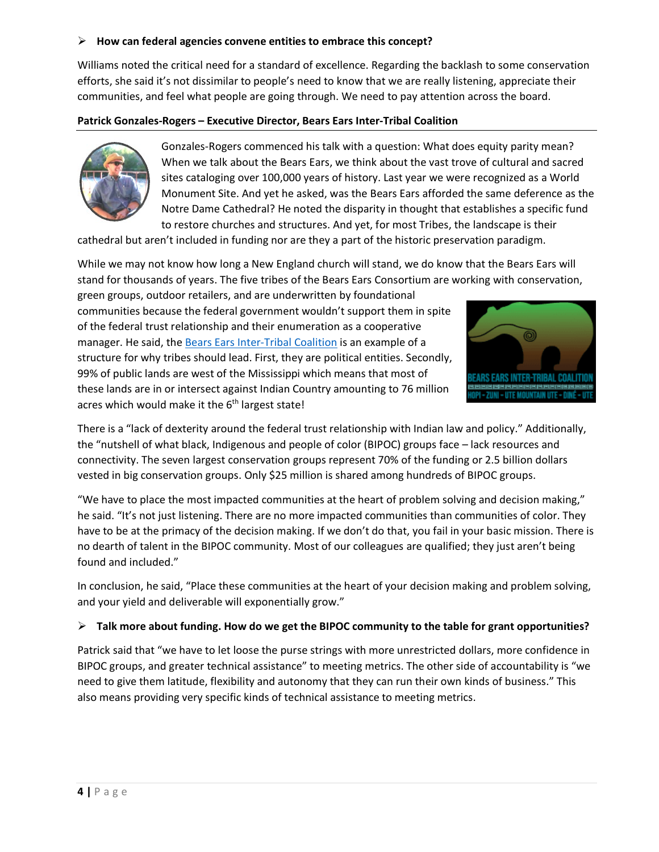#### **How can federal agencies convene entities to embrace this concept?**

Williams noted the critical need for a standard of excellence. Regarding the backlash to some conservation efforts, she said it's not dissimilar to people's need to know that we are really listening, appreciate their communities, and feel what people are going through. We need to pay attention across the board.

#### **Patrick Gonzales-Rogers – Executive Director, Bears Ears Inter-Tribal Coalition**



Gonzales-Rogers commenced his talk with a question: What does equity parity mean? When we talk about the Bears Ears, we think about the vast trove of cultural and sacred sites cataloging over 100,000 years of history. Last year we were recognized as a World Monument Site. And yet he asked, was the Bears Ears afforded the same deference as the Notre Dame Cathedral? He noted the disparity in thought that establishes a specific fund to restore churches and structures. And yet, for most Tribes, the landscape is their

cathedral but aren't included in funding nor are they a part of the historic preservation paradigm.

While we may not know how long a New England church will stand, we do know that the Bears Ears will stand for thousands of years. The five tribes of the Bears Ears Consortium are working with conservation,

green groups, outdoor retailers, and are underwritten by foundational communities because the federal government wouldn't support them in spite of the federal trust relationship and their enumeration as a cooperative manager. He said, the [Bears Ears Inter-Tribal Coalition](https://bearsearscoalition.org/) is an example of a structure for why tribes should lead. First, they are political entities. Secondly, 99% of public lands are west of the Mississippi which means that most of these lands are in or intersect against Indian Country amounting to 76 million acres which would make it the  $6<sup>th</sup>$  largest state!



There is a "lack of dexterity around the federal trust relationship with Indian law and policy." Additionally, the "nutshell of what black, Indigenous and people of color (BIPOC) groups face – lack resources and connectivity. The seven largest conservation groups represent 70% of the funding or 2.5 billion dollars vested in big conservation groups. Only \$25 million is shared among hundreds of BIPOC groups.

"We have to place the most impacted communities at the heart of problem solving and decision making," he said. "It's not just listening. There are no more impacted communities than communities of color. They have to be at the primacy of the decision making. If we don't do that, you fail in your basic mission. There is no dearth of talent in the BIPOC community. Most of our colleagues are qualified; they just aren't being found and included."

In conclusion, he said, "Place these communities at the heart of your decision making and problem solving, and your yield and deliverable will exponentially grow."

#### **Talk more about funding. How do we get the BIPOC community to the table for grant opportunities?**

Patrick said that "we have to let loose the purse strings with more unrestricted dollars, more confidence in BIPOC groups, and greater technical assistance" to meeting metrics. The other side of accountability is "we need to give them latitude, flexibility and autonomy that they can run their own kinds of business." This also means providing very specific kinds of technical assistance to meeting metrics.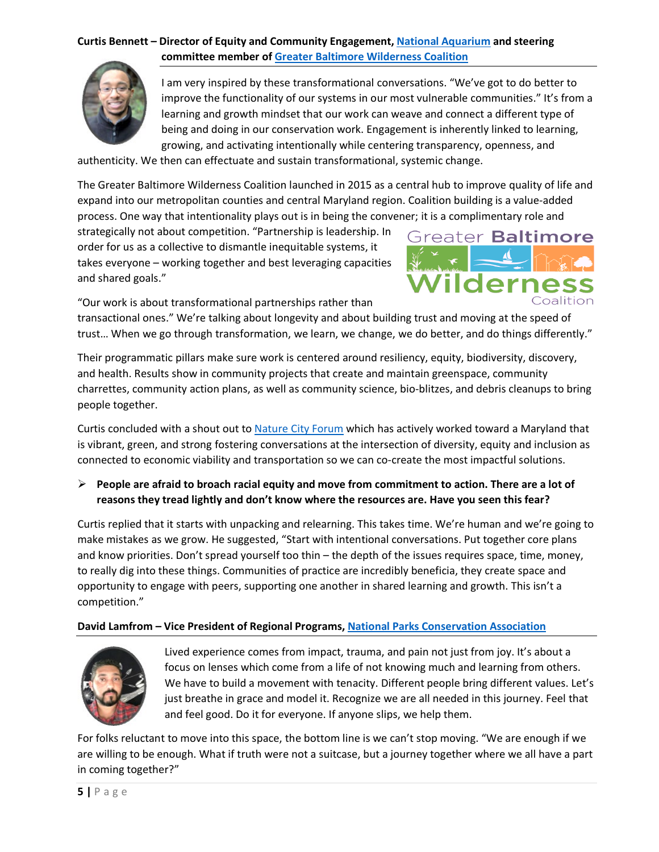### **Curtis Bennett – Director of Equity and Community Engagement, [National Aquarium](https://aqua.org/) and steering committee member o[f Greater Baltimore Wilderness Coalition](http://www.baltimorewilderness.org/)**



I am very inspired by these transformational conversations. "We've got to do better to improve the functionality of our systems in our most vulnerable communities." It's from a learning and growth mindset that our work can weave and connect a different type of being and doing in our conservation work. Engagement is inherently linked to learning, growing, and activating intentionally while centering transparency, openness, and

authenticity. We then can effectuate and sustain transformational, systemic change.

The Greater Baltimore Wilderness Coalition launched in 2015 as a central hub to improve quality of life and expand into our metropolitan counties and central Maryland region. Coalition building is a value-added process. One way that intentionality plays out is in being the convener; it is a complimentary role and

strategically not about competition. "Partnership is leadership. In order for us as a collective to dismantle inequitable systems, it takes everyone – working together and best leveraging capacities and shared goals."



"Our work is about transformational partnerships rather than

transactional ones." We're talking about longevity and about building trust and moving at the speed of trust… When we go through transformation, we learn, we change, we do better, and do things differently."

Their programmatic pillars make sure work is centered around resiliency, equity, biodiversity, discovery, and health. Results show in community projects that create and maintain greenspace, community charrettes, community action plans, as well as community science, bio-blitzes, and debris cleanups to bring people together.

Curtis concluded with a shout out to [Nature City Forum](https://sites.google.com/view/naturecity2021/home?authuser=1) which has actively worked toward a Maryland that is vibrant, green, and strong fostering conversations at the intersection of diversity, equity and inclusion as connected to economic viability and transportation so we can co-create the most impactful solutions.

 **People are afraid to broach racial equity and move from commitment to action. There are a lot of reasons they tread lightly and don't know where the resources are. Have you seen this fear?**

Curtis replied that it starts with unpacking and relearning. This takes time. We're human and we're going to make mistakes as we grow. He suggested, "Start with intentional conversations. Put together core plans and know priorities. Don't spread yourself too thin – the depth of the issues requires space, time, money, to really dig into these things. Communities of practice are incredibly beneficia, they create space and opportunity to engage with peers, supporting one another in shared learning and growth. This isn't a competition."

### **David Lamfrom – Vice President of Regional Programs, [National Parks Conservation Association](https://www.npca.org/)**



Lived experience comes from impact, trauma, and pain not just from joy. It's about a focus on lenses which come from a life of not knowing much and learning from others. We have to build a movement with tenacity. Different people bring different values. Let's just breathe in grace and model it. Recognize we are all needed in this journey. Feel that and feel good. Do it for everyone. If anyone slips, we help them.

For folks reluctant to move into this space, the bottom line is we can't stop moving. "We are enough if we are willing to be enough. What if truth were not a suitcase, but a journey together where we all have a part in coming together?"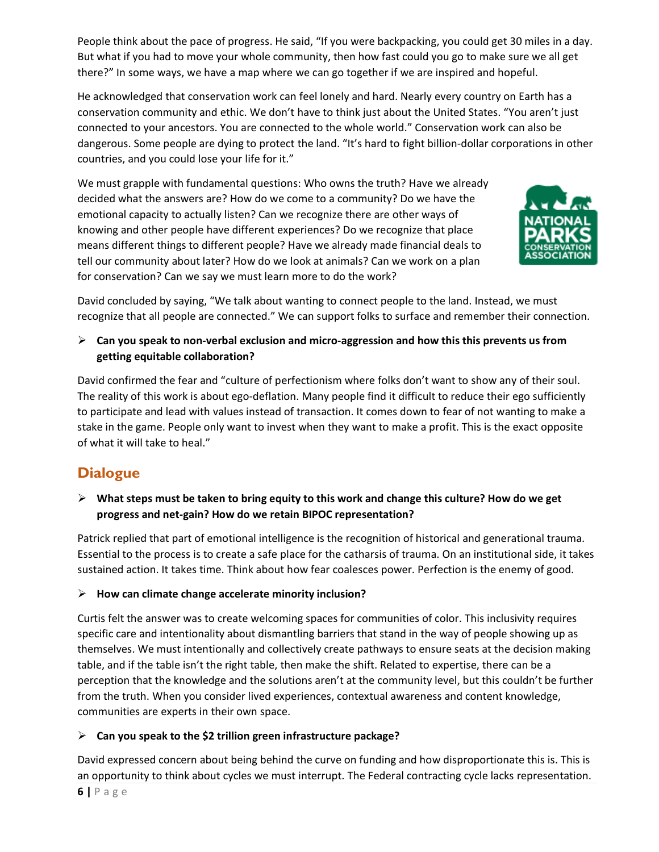People think about the pace of progress. He said, "If you were backpacking, you could get 30 miles in a day. But what if you had to move your whole community, then how fast could you go to make sure we all get there?" In some ways, we have a map where we can go together if we are inspired and hopeful.

He acknowledged that conservation work can feel lonely and hard. Nearly every country on Earth has a conservation community and ethic. We don't have to think just about the United States. "You aren't just connected to your ancestors. You are connected to the whole world." Conservation work can also be dangerous. Some people are dying to protect the land. "It's hard to fight billion-dollar corporations in other countries, and you could lose your life for it."

We must grapple with fundamental questions: Who owns the truth? Have we already decided what the answers are? How do we come to a community? Do we have the emotional capacity to actually listen? Can we recognize there are other ways of knowing and other people have different experiences? Do we recognize that place means different things to different people? Have we already made financial deals to tell our community about later? How do we look at animals? Can we work on a plan for conservation? Can we say we must learn more to do the work?



David concluded by saying, "We talk about wanting to connect people to the land. Instead, we must recognize that all people are connected." We can support folks to surface and remember their connection.

### **Can you speak to non-verbal exclusion and micro-aggression and how this this prevents us from getting equitable collaboration?**

David confirmed the fear and "culture of perfectionism where folks don't want to show any of their soul. The reality of this work is about ego-deflation. Many people find it difficult to reduce their ego sufficiently to participate and lead with values instead of transaction. It comes down to fear of not wanting to make a stake in the game. People only want to invest when they want to make a profit. This is the exact opposite of what it will take to heal."

# **Dialogue**

 **What steps must be taken to bring equity to this work and change this culture? How do we get progress and net-gain? How do we retain BIPOC representation?**

Patrick replied that part of emotional intelligence is the recognition of historical and generational trauma. Essential to the process is to create a safe place for the catharsis of trauma. On an institutional side, it takes sustained action. It takes time. Think about how fear coalesces power. Perfection is the enemy of good.

### **How can climate change accelerate minority inclusion?**

Curtis felt the answer was to create welcoming spaces for communities of color. This inclusivity requires specific care and intentionality about dismantling barriers that stand in the way of people showing up as themselves. We must intentionally and collectively create pathways to ensure seats at the decision making table, and if the table isn't the right table, then make the shift. Related to expertise, there can be a perception that the knowledge and the solutions aren't at the community level, but this couldn't be further from the truth. When you consider lived experiences, contextual awareness and content knowledge, communities are experts in their own space.

## **Can you speak to the \$2 trillion green infrastructure package?**

David expressed concern about being behind the curve on funding and how disproportionate this is. This is an opportunity to think about cycles we must interrupt. The Federal contracting cycle lacks representation.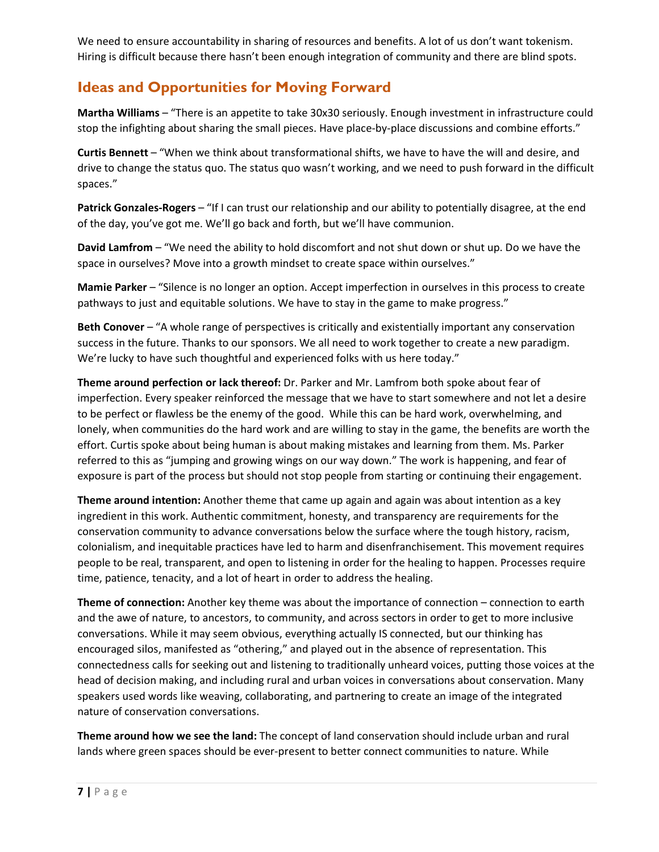We need to ensure accountability in sharing of resources and benefits. A lot of us don't want tokenism. Hiring is difficult because there hasn't been enough integration of community and there are blind spots.

## **Ideas and Opportunities for Moving Forward**

**Martha Williams** – "There is an appetite to take 30x30 seriously. Enough investment in infrastructure could stop the infighting about sharing the small pieces. Have place-by-place discussions and combine efforts."

**Curtis Bennett** – "When we think about transformational shifts, we have to have the will and desire, and drive to change the status quo. The status quo wasn't working, and we need to push forward in the difficult spaces."

**Patrick Gonzales-Rogers** – "If I can trust our relationship and our ability to potentially disagree, at the end of the day, you've got me. We'll go back and forth, but we'll have communion.

**David Lamfrom** – "We need the ability to hold discomfort and not shut down or shut up. Do we have the space in ourselves? Move into a growth mindset to create space within ourselves."

**Mamie Parker** – "Silence is no longer an option. Accept imperfection in ourselves in this process to create pathways to just and equitable solutions. We have to stay in the game to make progress."

**Beth Conover** – "A whole range of perspectives is critically and existentially important any conservation success in the future. Thanks to our sponsors. We all need to work together to create a new paradigm. We're lucky to have such thoughtful and experienced folks with us here today."

**Theme around perfection or lack thereof:** Dr. Parker and Mr. Lamfrom both spoke about fear of imperfection. Every speaker reinforced the message that we have to start somewhere and not let a desire to be perfect or flawless be the enemy of the good. While this can be hard work, overwhelming, and lonely, when communities do the hard work and are willing to stay in the game, the benefits are worth the effort. Curtis spoke about being human is about making mistakes and learning from them. Ms. Parker referred to this as "jumping and growing wings on our way down." The work is happening, and fear of exposure is part of the process but should not stop people from starting or continuing their engagement.

**Theme around intention:** Another theme that came up again and again was about intention as a key ingredient in this work. Authentic commitment, honesty, and transparency are requirements for the conservation community to advance conversations below the surface where the tough history, racism, colonialism, and inequitable practices have led to harm and disenfranchisement. This movement requires people to be real, transparent, and open to listening in order for the healing to happen. Processes require time, patience, tenacity, and a lot of heart in order to address the healing.

**Theme of connection:** Another key theme was about the importance of connection – connection to earth and the awe of nature, to ancestors, to community, and across sectors in order to get to more inclusive conversations. While it may seem obvious, everything actually IS connected, but our thinking has encouraged silos, manifested as "othering," and played out in the absence of representation. This connectedness calls for seeking out and listening to traditionally unheard voices, putting those voices at the head of decision making, and including rural and urban voices in conversations about conservation. Many speakers used words like weaving, collaborating, and partnering to create an image of the integrated nature of conservation conversations.

**Theme around how we see the land:** The concept of land conservation should include urban and rural lands where green spaces should be ever-present to better connect communities to nature. While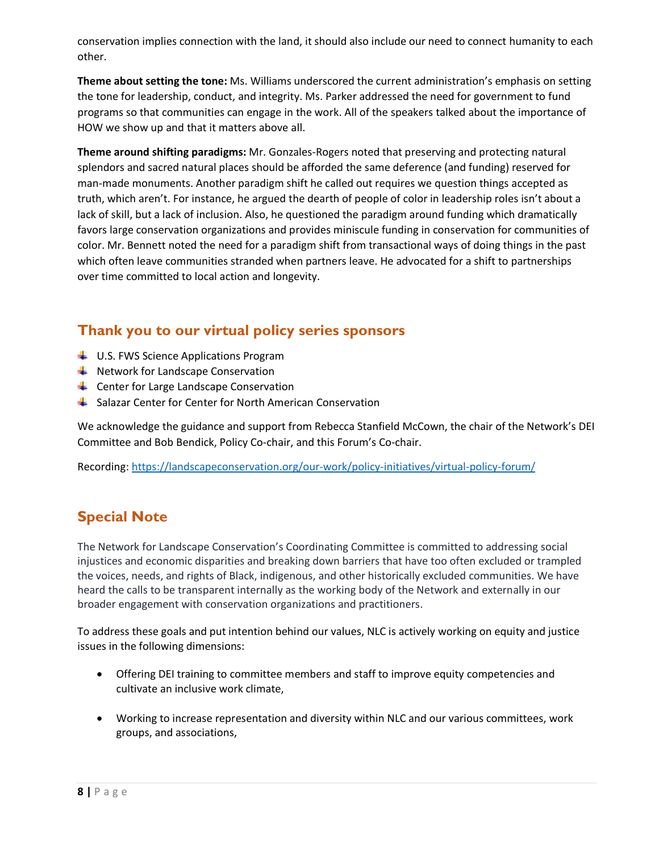conservation implies connection with the land, it should also include our need to connect humanity to each other.

**Theme about setting the tone:** Ms. Williams underscored the current administration's emphasis on setting the tone for leadership, conduct, and integrity. Ms. Parker addressed the need for government to fund programs so that communities can engage in the work. All of the speakers talked about the importance of HOW we show up and that it matters above all.

**Theme around shifting paradigms:** Mr. Gonzales-Rogers noted that preserving and protecting natural splendors and sacred natural places should be afforded the same deference (and funding) reserved for man-made monuments. Another paradigm shift he called out requires we question things accepted as truth, which aren't. For instance, he argued the dearth of people of color in leadership roles isn't about a lack of skill, but a lack of inclusion. Also, he questioned the paradigm around funding which dramatically favors large conservation organizations and provides miniscule funding in conservation for communities of color. Mr. Bennett noted the need for a paradigm shift from transactional ways of doing things in the past which often leave communities stranded when partners leave. He advocated for a shift to partnerships over time committed to local action and longevity.

## **Thank you to our virtual policy series sponsors**

- $\downarrow$  U.S. FWS Science Applications Program
- $\bigstar$  Network for Landscape Conservation
- $\overline{\phantom{a}}$  Center for Large Landscape Conservation
- Salazar Center for Center for North American Conservation

We acknowledge the guidance and support from Rebecca Stanfield McCown, the chair of the Network's DEI Committee and Bob Bendick, Policy Co-chair, and this Forum's Co-chair.

Recording:<https://landscapeconservation.org/our-work/policy-initiatives/virtual-policy-forum/>

# **Special Note**

The Network for Landscape Conservation's Coordinating Committee is committed to addressing social injustices and economic disparities and breaking down barriers that have too often excluded or trampled the voices, needs, and rights of Black, indigenous, and other historically excluded communities. We have heard the calls to be transparent internally as the working body of the Network and externally in our broader engagement with conservation organizations and practitioners.

To address these goals and put intention behind our values, NLC is actively working on equity and justice issues in the following dimensions:

- Offering DEI training to committee members and staff to improve equity competencies and cultivate an inclusive work climate,
- Working to increase representation and diversity within NLC and our various committees, work groups, and associations,